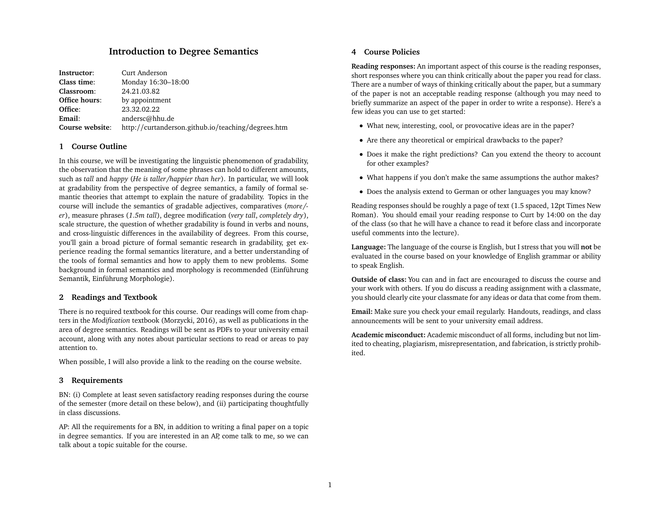# **Introduction to Degree Semantics**

| Instructor:     | Curt Anderson                                      |
|-----------------|----------------------------------------------------|
| Class time:     | Monday 16:30-18:00                                 |
| Classroom:      | 24.21.03.82                                        |
| Office hours:   | by appointment                                     |
| Office:         | 23.32.02.22                                        |
| Email:          | andersc@hhu.de                                     |
| Course website: | http://curtanderson.github.io/teaching/degrees.htm |

## **1 Course Outline**

In this course, we will be investigating the linguistic phenomenon of gradability, the observation that the meaning of some phrases can hold to different amounts, such as *tall* and *happy* (*He is taller/happier than her*). In particular, we will look at gradability from the perspective of degree semantics, a family of formal semantic theories that attempt to explain the nature of gradability. Topics in the course will include the semantics of gradable adjectives, comparatives (*more/ er*), measure phrases (*1.5m tall*), degree modification (*very tall*, *completely dry*), scale structure, the question of whether gradability is found in verbs and nouns, and cross-linguistic differences in the availability of degrees. From this course, you'll gain a broad picture of formal semantic research in gradability, get experience reading the formal semantics literature, and a better understanding of the tools of formal semantics and how to apply them to new problems. Some background in formal semantics and morphology is recommended (Einführung Semantik, Einführung Morphologie).

### **2 Readings and Textbook**

There is no required textbook for this course. Our readings will come from chapters in the *Modification* textbook (Morzycki, 2016), as well as publications in the area of degree semantics. Readings will be sent as PDFs to your university email account, along with any notes about particular sections to read or areas to pay attention to.

When possible, I will also provide a link to the reading on the course website.

#### **3 Requirements**

BN: (i) Complete at least seven satisfactory reading responses during the course of the semester (more detail on these below), and (ii) participating thoughtfully in class discussions.

AP: All the requirements for a BN, in addition to writing a final paper on a topic in degree semantics. If you are interested in an AP, come talk to me, so we can talk about a topic suitable for the course.

### **4 Course Policies**

**Reading responses:** An important aspect of this course is the reading responses, short responses where you can think critically about the paper you read for class. There are a number of ways of thinking critically about the paper, but a summary of the paper is not an acceptable reading response (although you may need to briefly summarize an aspect of the paper in order to write a response). Here's a few ideas you can use to get started:

- What new, interesting, cool, or provocative ideas are in the paper?
- Are there any theoretical or empirical drawbacks to the paper?
- Does it make the right predictions? Can you extend the theory to account for other examples?
- What happens if you don't make the same assumptions the author makes?
- Does the analysis extend to German or other languages you may know?

Reading responses should be roughly a page of text (1.5 spaced, 12pt Times New Roman). You should email your reading response to Curt by 14:00 on the day of the class (so that he will have a chance to read it before class and incorporate useful comments into the lecture).

**Language:** The language of the course is English, but I stress that you will **not** be evaluated in the course based on your knowledge of English grammar or ability to speak English.

**Outside of class:** You can and in fact are encouraged to discuss the course and your work with others. If you do discuss a reading assignment with a classmate, you should clearly cite your classmate for any ideas or data that come from them.

**Email:** Make sure you check your email regularly. Handouts, readings, and class announcements will be sent to your university email address.

**Academic misconduct:** Academic misconduct of all forms, including but not limited to cheating, plagiarism, misrepresentation, and fabrication, is strictly prohibited.